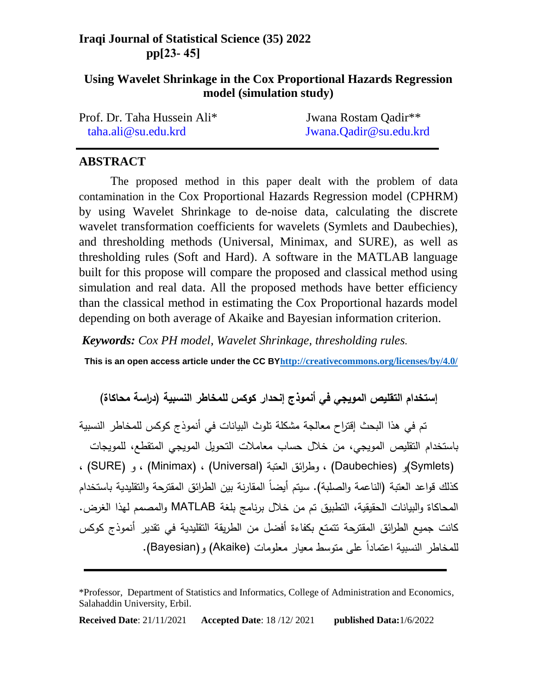## **Iraqi Journal of Statistical Science (35) 2022 pp[32- 54]**

## **Using Wavelet Shrinkage in the Cox Proportional Hazards Regression model (simulation study)**

| Prof. Dr. Taha Hussein Ali* | Jwana Rostam Qadir**   |
|-----------------------------|------------------------|
| taha.ali@su.edu.krd         | Jwana.Qadir@su.edu.krd |

### **ABSTRACT**

The proposed method in this paper dealt with the problem of data contamination in the Cox Proportional Hazards Regression model (CPHRM) by using Wavelet Shrinkage to de-noise data, calculating the discrete wavelet transformation coefficients for wavelets (Symlets and Daubechies), and thresholding methods (Universal, Minimax, and SURE), as well as thresholding rules (Soft and Hard). A software in the MATLAB language built for this propose will compare the proposed and classical method using simulation and real data. All the proposed methods have better efficiency than the classical method in estimating the Cox Proportional hazards model depending on both average of Akaike and Bayesian information criterion.

*Keywords: Cox PH model, Wavelet Shrinkage, thresholding rules.* 

**This is an open access article under the CC B[Y](http://creativecommons.org/licenses/by/4.0/)h[ttp://creativecommons.org/licenses/by/4.0/](http://creativecommons.org/licenses/by/4.0/)**

إستخدام التقليص المويجي في أنموذج إنحدار كوكس للمخاطر النسبية (دراسة محاكاة)

تم في هذا البحث إقتراح معالجة مشكمة تموث البيانات في أنموذج كوكس لممخاطر النسبية باستخدام التقليص المويجي، من خلال حساب معاملات التحويل الموويجي المتقطع، للمويجات (Symlets) (و (Daubechies) ، وطرائق العتبة (Universal) (Universal ) ، و (SURE) (،) (SURE كذلك قواعد العتبة (الناعمة والصلبة). سيتم أيضاً المقارنة بين الطرائق المقترحة والتقليدية باستخدام المحاكاة والبيانات الحقيقية، التطبيق تم من خالل برنامج بمغة MATLAB و المصمم لهذا الغرض. كانت جميع الطر ائق المقترحة تتمتع بكفاءة أفضل من الطريقة التقميدية في تقدير أنموذج كوكس ممخاطر النسبية اعتمادا عمى متوسط معيار معمومات (Akaike (و(Bayesian(. ل

**Received Date**: 21/11/2021 **Accepted Date**: 18 /12/ 2021 **published Data:**1/6/2022

<sup>\*</sup>Professor, Department of Statistics and Informatics, College of Administration and Economics, Salahaddin University, Erbil.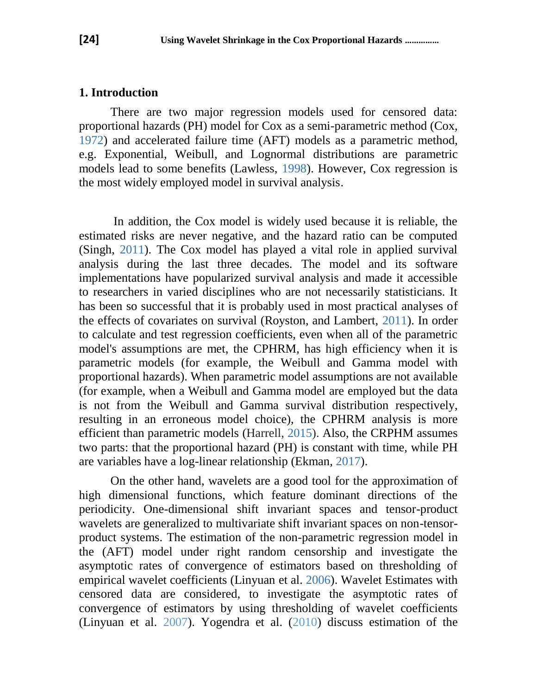### **1. Introduction**

There are two major regression models used for censored data: proportional hazards (PH) model for Cox as a semi-parametric method (Cox, 1972) and accelerated failure time (AFT) models as a parametric method, e.g. Exponential, Weibull, and Lognormal distributions are parametric models lead to some benefits (Lawless, 1998). However, Cox regression is the most widely employed model in survival analysis.

In addition, the Cox model is widely used because it is reliable, the estimated risks are never negative, and the hazard ratio can be computed (Singh, 2011). The Cox model has played a vital role in applied survival analysis during the last three decades. The model and its software implementations have popularized survival analysis and made it accessible to researchers in varied disciplines who are not necessarily statisticians. It has been so successful that it is probably used in most practical analyses of the effects of covariates on survival (Royston, and Lambert, 2011). In order to calculate and test regression coefficients, even when all of the parametric model's assumptions are met, the CPHRM, has high efficiency when it is parametric models (for example, the Weibull and Gamma model with proportional hazards). When parametric model assumptions are not available (for example, when a Weibull and Gamma model are employed but the data is not from the Weibull and Gamma survival distribution respectively, resulting in an erroneous model choice), the CPHRM analysis is more efficient than parametric models (Harrell, 2015). Also, the CRPHM assumes two parts: that the proportional hazard (PH) is constant with time, while PH are variables have a log-linear relationship (Ekman, 2017).

On the other hand, wavelets are a good tool for the approximation of high dimensional functions, which feature dominant directions of the periodicity. One-dimensional shift invariant spaces and tensor-product wavelets are generalized to multivariate shift invariant spaces on non-tensorproduct systems. The estimation of the non-parametric regression model in the (AFT) model under right random censorship and investigate the asymptotic rates of convergence of estimators based on thresholding of empirical wavelet coefficients (Linyuan et al. 2006). Wavelet Estimates with censored data are considered, to investigate the asymptotic rates of convergence of estimators by using thresholding of wavelet coefficients (Linyuan et al. 2007). Yogendra et al. (2010) discuss estimation of the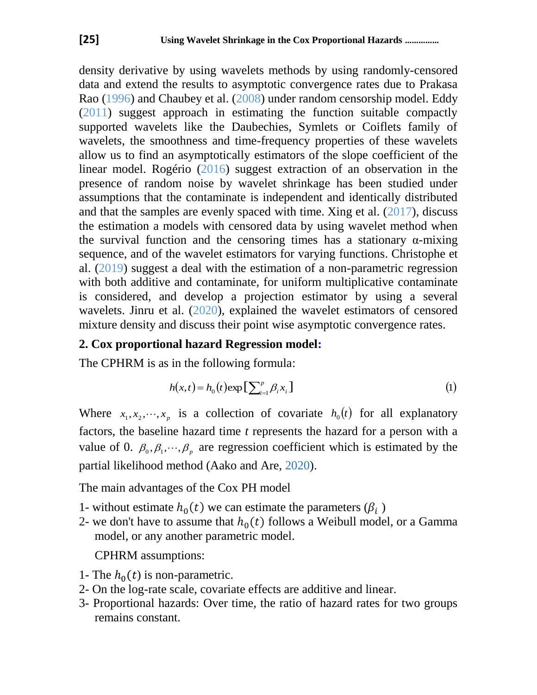density derivative by using wavelets methods by using randomly-censored data and extend the results to asymptotic convergence rates due to Prakasa Rao (1996) and Chaubey et al. (2008) under random censorship model. Eddy (2011) suggest approach in estimating the function suitable compactly supported wavelets like the Daubechies, Symlets or Coiflets family of wavelets, the smoothness and time-frequency properties of these wavelets allow us to find an asymptotically estimators of the slope coefficient of the linear model. Rogério (2016) suggest extraction of an observation in the presence of random noise by wavelet shrinkage has been studied under assumptions that the contaminate is independent and identically distributed and that the samples are evenly spaced with time. Xing et al.  $(2017)$ , discuss the estimation a models with censored data by using wavelet method when the survival function and the censoring times has a stationary  $\alpha$ -mixing sequence, and of the wavelet estimators for varying functions. Christophe et al. (2019) suggest a deal with the estimation of a non-parametric regression with both additive and contaminate, for uniform multiplicative contaminate is considered, and develop a projection estimator by using a several wavelets. Jinru et al. (2020), explained the wavelet estimators of censored mixture density and discuss their point wise asymptotic convergence rates.

## **2. Cox proportional hazard Regression model:**

The CPHRM is as in the following formula:

$$
h(x,t) = h_0(t) \exp\left[\sum_{i=1}^p \beta_i x_i\right]
$$
 (1)

Where  $x_1, x_2, \dots, x_p$  is a collection of covariate  $h_0(t)$  for all explanatory factors, the baseline hazard time *t* represents the hazard for a person with a value of 0.  $\beta_0$ ,  $\beta_1$ ,  $\cdots$ ,  $\beta_p$  are regression coefficient which is estimated by the partial likelihood method (Aako and Are, 2020).

The main advantages of the Cox PH model

- 1- without estimate  $h_0(t)$  we can estimate the parameters  $(\beta_i)$
- 2- we don't have to assume that  $h_0(t)$  follows a Weibull model, or a Gamma model, or any another parametric model.

CPHRM assumptions:

- 1- The  $h_0(t)$  is non-parametric.
- 2- On the log-rate scale, covariate effects are additive and linear.
- 3- Proportional hazards: Over time, the ratio of hazard rates for two groups remains constant.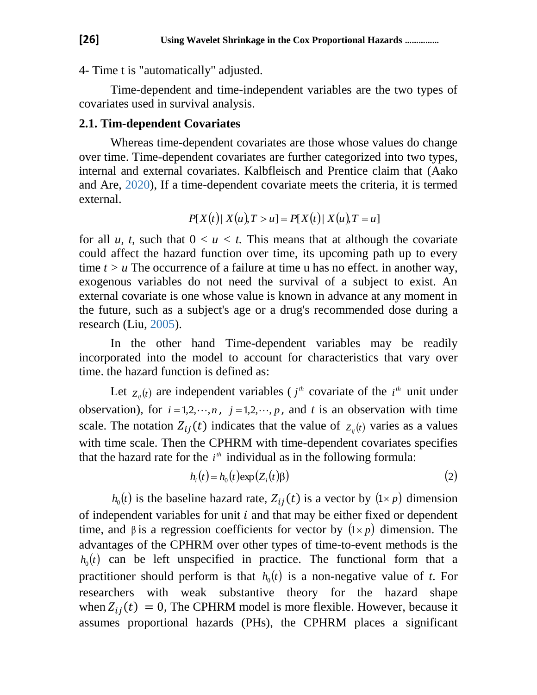4- Time t is "automatically" adjusted.

Time-dependent and time-independent variables are the two types of covariates used in survival analysis.

## **2.1. Tim-dependent Covariates**

Whereas time-dependent covariates are those whose values do change over time. Time-dependent covariates are further categorized into two types, internal and external covariates. Kalbfleisch and Prentice claim that (Aako and Are, 2020), If a time-dependent covariate meets the criteria, it is termed external.

$$
P[X(t) | X(u), T > u] = P[X(t) | X(u), T = u]
$$

for all *u, t,* such that  $0 < u < t$ . This means that at although the covariate could affect the hazard function over time, its upcoming path up to every time *t > u* The occurrence of a failure at time u has no effect*.* in another way, exogenous variables do not need the survival of a subject to exist. An external covariate is one whose value is known in advance at any moment in the future, such as a subject's age or a drug's recommended dose during a research (Liu, 2005).

In the other hand Time-dependent variables may be readily incorporated into the model to account for characteristics that vary over time. the hazard function is defined as:

Let  $z_{ij}(t)$  are independent variables (*j<sup>th</sup>* covariate of the *i*<sup>th</sup> unit under observation), for  $i = 1, 2, \dots, n$ ,  $j = 1, 2, \dots, p$ , and t is an observation with time scale. The notation  $Z_{ij}(t)$  indicates that the value of  $Z_{ij}(t)$  varies as a values with time scale. Then the CPHRM with time-dependent covariates specifies that the hazard rate for the  $i<sup>th</sup>$  individual as in the following formula:

$$
h_i(t) = h_0(t) \exp(Z_i(t))\tag{2}
$$

 $h_0(t)$  is the baseline hazard rate,  $Z_{ij}(t)$  is a vector by  $(1 \times p)$  dimension of independent variables for unit  $i$  and that may be either fixed or dependent time, and  $\beta$  is a regression coefficients for vector by  $(1 \times p)$  dimension. The advantages of the CPHRM over other types of time-to-event methods is the  $h_0(t)$  can be left unspecified in practice. The functional form that a practitioner should perform is that  $h_0(t)$  is a non-negative value of *t*. For researchers with weak substantive theory for the hazard shape when  $Z_{ii}(t) = 0$ , The CPHRM model is more flexible. However, because it assumes proportional hazards (PHs), the CPHRM places a significant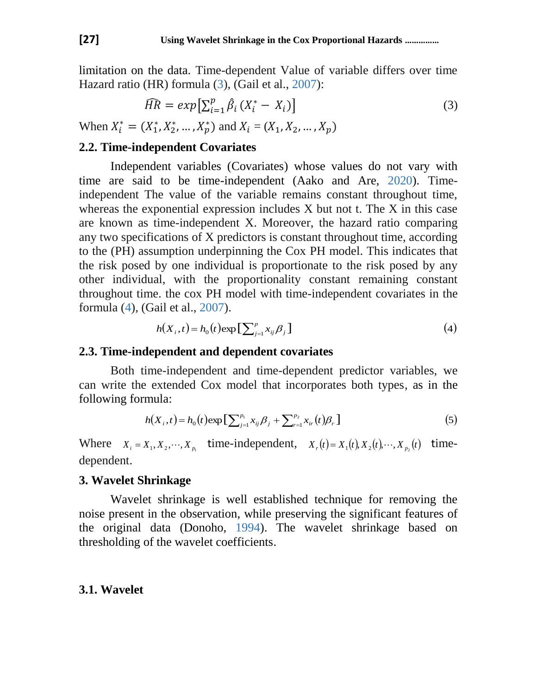limitation on the data. Time-dependent Value of variable differs over time Hazard ratio (HR) formula (3), (Gail et al., 2007):

$$
\widehat{HR} = exp[\sum_{i=1}^{p} \hat{\beta}_i (X_i^* - X_i)]
$$
  
When  $X_i^* = (X_1^*, X_2^*, ..., X_p^*)$  and  $X_i = (X_1, X_2, ..., X_p)$  (3)

## **2.2. Time-independent Covariates**

Independent variables (Covariates) whose values do not vary with time are said to be time-independent (Aako and Are, 2020). Timeindependent The value of the variable remains constant throughout time, whereas the exponential expression includes X but not t. The X in this case are known as time-independent X. Moreover, the hazard ratio comparing any two specifications of X predictors is constant throughout time, according to the (PH) assumption underpinning the Cox PH model. This indicates that the risk posed by one individual is proportionate to the risk posed by any other individual, with the proportionality constant remaining constant throughout time. the cox PH model with time-independent covariates in the formula (4), (Gail et al., 2007).

$$
h(X_i, t) = h_0(t) \exp\left[\sum_{j=1}^p x_{ij} \beta_j\right]
$$
\n<sup>(4)</sup>

#### **2.3. Time-independent and dependent covariates**

Both time-independent and time-dependent predictor variables, we can write the extended Cox model that incorporates both types, as in the following formula:

$$
h(X_i,t) = h_0(t) \exp\left[\sum_{j=1}^{p_1} x_{ij} \beta_j + \sum_{r=1}^{p_2} x_{ir}(t) \beta_r\right]
$$
 (5)

Where  $X_i = X_1, X_2, \dots, X_{p_1}$  time-independent,  $X_i(t) = X_1(t), X_2(t), \dots, X_{p_2}(t)$  timedependent.

#### **3. Wavelet Shrinkage**

Wavelet shrinkage is well established technique for removing the noise present in the observation, while preserving the significant features of the original data (Donoho, 1994). The wavelet shrinkage based on thresholding of the wavelet coefficients.

#### **3.1. Wavelet**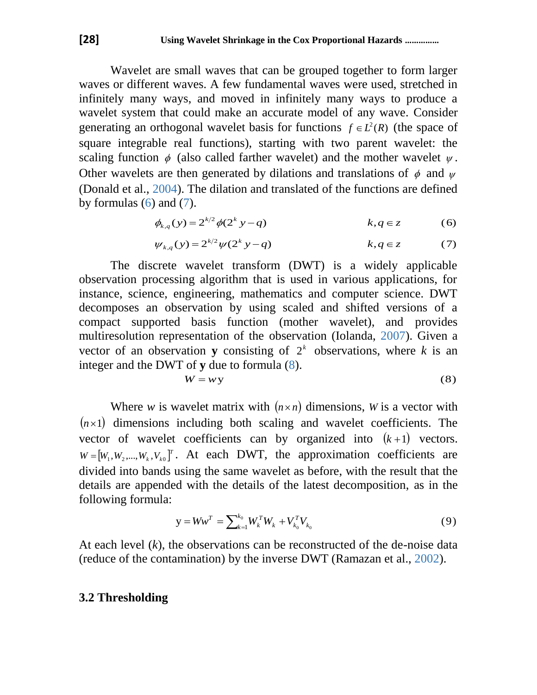Wavelet are small waves that can be grouped together to form larger waves or different waves. A few fundamental waves were used, stretched in infinitely many ways, and moved in infinitely many ways to produce a wavelet system that could make an accurate model of any wave. Consider generating an orthogonal wavelet basis for functions  $f \in L^2(R)$  (the space of square integrable real functions), starting with two parent wavelet: the scaling function  $\phi$  (also called farther wavelet) and the mother wavelet  $\psi$ . Other wavelets are then generated by dilations and translations of  $\phi$  and  $\psi$ (Donald et al., 2004). The dilation and translated of the functions are defined by formulas  $(6)$  and  $(7)$ .

$$
\phi_{k,q}(y) = 2^{k/2} \phi(2^k y - q) \qquad k, q \in \mathbb{Z} \tag{6}
$$

$$
\psi_{k,q}(y) = 2^{k/2} \psi(2^k y - q) \qquad k, q \in z \tag{7}
$$

The discrete wavelet transform (DWT) is a widely applicable observation processing algorithm that is used in various applications, for instance, science, engineering, mathematics and computer science. DWT decomposes an observation by using scaled and shifted versions of a compact supported basis function (mother wavelet), and provides multiresolution representation of the observation (Iolanda, 2007). Given a vector of an observation **y** consisting of  $2<sup>k</sup>$  observations, where k is an integer and the DWT of **y** due to formula (8).

$$
W = w y \tag{8}
$$

Where *w* is wavelet matrix with  $(n \times n)$  dimensions, *W* is a vector with  $(n \times 1)$  dimensions including both scaling and wavelet coefficients. The vector of wavelet coefficients can by organized into  $(k+1)$  vectors.  $W = [W_1, W_2, \dots, W_k, V_{k0}]^T$ . At each DWT, the approximation coefficients are divided into bands using the same wavelet as before, with the result that the details are appended with the details of the latest decomposition, as in the following formula:

$$
y = Ww^{T} = \sum_{k=1}^{k_0} W_k^{T} W_k + V_{k_0}^{T} V_{k_0}
$$
\n(9)

At each level (*k*), the observations can be reconstructed of the de-noise data (reduce of the contamination) by the inverse DWT (Ramazan et al., 2002).

### **3.2 Thresholding**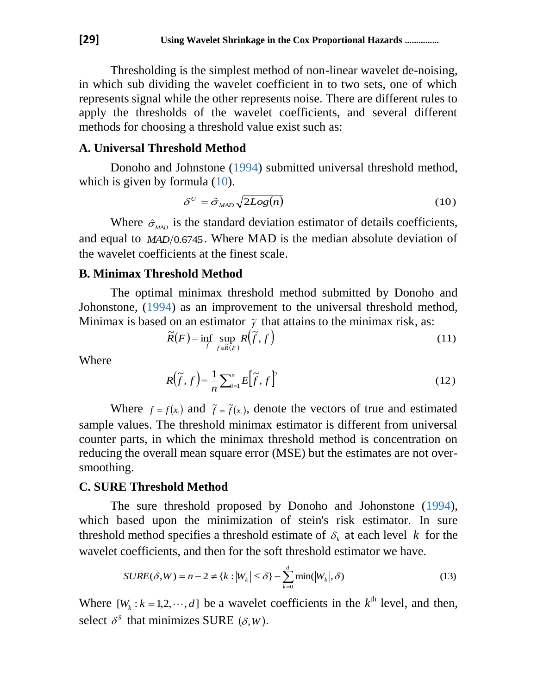Thresholding is the simplest method of non-linear wavelet de-noising, in which sub dividing the wavelet coefficient in to two sets, one of which represents signal while the other represents noise. There are different rules to apply the thresholds of the wavelet coefficients, and several different methods for choosing a threshold value exist such as:

### **A. Universal Threshold Method**

Donoho and Johnstone (1994) submitted universal threshold method, which is given by formula  $(10)$ .

$$
\delta^U = \hat{\sigma}_{\text{MAD}} \sqrt{2Log(n)} \tag{10}
$$

Where  $\hat{\sigma}_{\text{MAD}}$  is the standard deviation estimator of details coefficients, and equal to *MAD*/0.6745. Where MAD is the median absolute deviation of the wavelet coefficients at the finest scale.

### **B. Minimax Threshold Method**

The optimal minimax threshold method submitted by Donoho and Johonstone, (1994) as an improvement to the universal threshold method, Minimax is based on an estimator  $\tilde{f}$  that attains to the minimax risk, as:

$$
\widetilde{R}(F) = \inf_{\widetilde{f}} \sup_{f \in \widetilde{R}(F)} R(\widetilde{f}, f)
$$
\n(11)

Where

$$
R(\widetilde{f},f) = \frac{1}{n} \sum_{i=1}^{n} E[\widetilde{f},f]^2
$$
\n(12)

Where  $f = f(x_i)$  and  $\tilde{f} = \tilde{f}(x_i)$ , denote the vectors of true and estimated sample values. The threshold minimax estimator is different from universal counter parts, in which the minimax threshold method is concentration on reducing the overall mean square error (MSE) but the estimates are not oversmoothing.

#### **C. SURE Threshold Method**

The sure threshold proposed by Donoho and Johonstone (1994), which based upon the minimization of stein's risk estimator. In sure threshold method specifies a threshold estimate of  $\delta_k$  at each level k for the wavelet coefficients, and then for the soft threshold estimator we have.

$$
SURE(\delta, W) = n - 2 \neq \{k : |W_k| \leq \delta\} - \sum_{k=0}^{d} \min(|W_k|, \delta)
$$
\n(13)

Where  $[W_k : k = 1, 2, \dots, d]$  be a wavelet coefficients in the  $k^{\text{th}}$  level, and then, select  $\delta^s$  that minimizes SURE  $(\delta, W)$ .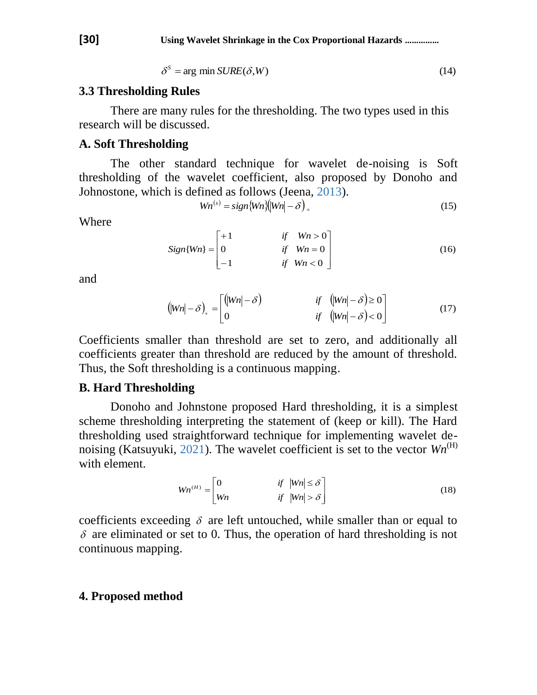$$
\delta^S = \arg \min \text{SURE}(\delta, W) \tag{14}
$$

#### **3.3 Thresholding Rules**

There are many rules for the thresholding. The two types used in this research will be discussed.

### **A. Soft Thresholding**

The other standard technique for wavelet de-noising is Soft thresholding of the wavelet coefficient, also proposed by Donoho and Johnostone, which is defined as follows (Jeena, 2013).

$$
Wn^{(s)} = sign\{Wn\}\{|Wn| - \delta\}\tag{15}
$$

Where

$$
Sign\{Wn\} = \begin{bmatrix} +1 & \text{if} & Wn > 0 \\ 0 & \text{if} & Wn = 0 \\ -1 & \text{if} & Wn < 0 \end{bmatrix} \tag{16}
$$

and

$$
(|Wn| - \delta)_+ = \begin{bmatrix} (|Wn| - \delta) & \text{if } (|Wn| - \delta) \ge 0 \\ 0 & \text{if } (|Wn| - \delta) < 0 \end{bmatrix}
$$
 (17)

Coefficients smaller than threshold are set to zero, and additionally all coefficients greater than threshold are reduced by the amount of threshold. Thus, the Soft thresholding is a continuous mapping.

#### **B. Hard Thresholding**

Donoho and Johnstone proposed Hard thresholding, it is a simplest scheme thresholding interpreting the statement of (keep or kill). The Hard thresholding used straightforward technique for implementing wavelet denoising (Katsuyuki, 2021). The wavelet coefficient is set to the vector  $Wn^{(H)}$ with element.

$$
Wn^{(H)} = \begin{bmatrix} 0 & \quad \text{if} \quad |Wn| \le \delta \\ Wn & \quad \text{if} \quad |Wn| > \delta \end{bmatrix}
$$
 (18)

coefficients exceeding  $\delta$  are left untouched, while smaller than or equal to  $\delta$  are eliminated or set to 0. Thus, the operation of hard thresholding is not continuous mapping.

#### **4. Proposed method**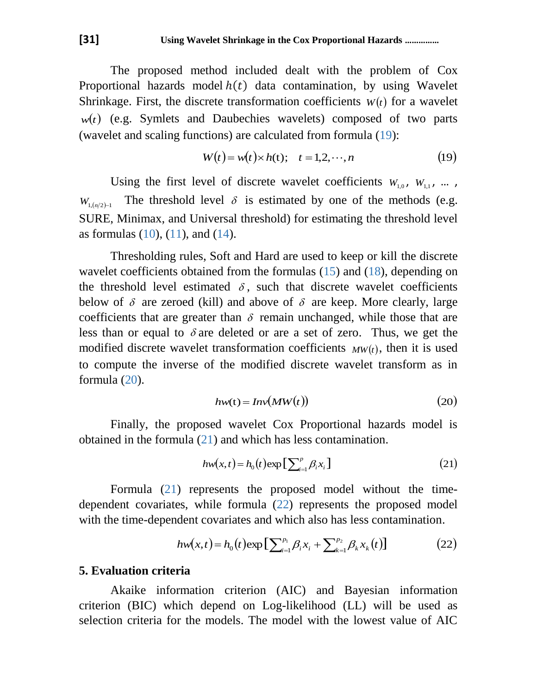The proposed method included dealt with the problem of Cox Proportional hazards model  $h(t)$  data contamination, by using Wavelet Shrinkage. First, the discrete transformation coefficients  $W(t)$  for a wavelet  $w(t)$  (e.g. Symlets and Daubechies wavelets) composed of two parts (wavelet and scaling functions) are calculated from formula (19):

$$
W(t) = w(t) \times h(t); \quad t = 1, 2, \cdots, n \tag{19}
$$

Using the first level of discrete wavelet coefficients  $W_{1,0}$ ,  $W_{1,1}$ , ...,  $W_{1,(n/2)-1}$ The threshold level  $\delta$  is estimated by one of the methods (e.g. SURE, Minimax, and Universal threshold) for estimating the threshold level as formulas  $(10)$ ,  $(11)$ , and  $(14)$ .

Thresholding rules, Soft and Hard are used to keep or kill the discrete wavelet coefficients obtained from the formulas (15) and (18), depending on the threshold level estimated  $\delta$ , such that discrete wavelet coefficients below of  $\delta$  are zeroed (kill) and above of  $\delta$  are keep. More clearly, large coefficients that are greater than  $\delta$  remain unchanged, while those that are less than or equal to  $\delta$  are deleted or are a set of zero. Thus, we get the modified discrete wavelet transformation coefficients  $MW(t)$ , then it is used to compute the inverse of the modified discrete wavelet transform as in formula (20).

$$
hw(t) = Inv(MW(t))
$$
\n(20)

Finally, the proposed wavelet Cox Proportional hazards model is obtained in the formula (21) and which has less contamination.

$$
hw(x,t) = h_0(t) \exp\left[\sum_{i=1}^p \beta_i x_i\right]
$$
 (21)

Formula (21) represents the proposed model without the timedependent covariates, while formula (22) represents the proposed model with the time-dependent covariates and which also has less contamination.

$$
hw(x,t) = h_0(t) \exp\left[\sum_{i=1}^{p_1} \beta_i x_i + \sum_{k=1}^{p_2} \beta_k x_k(t)\right]
$$
 (22)

#### **5. Evaluation criteria**

Akaike information criterion (AIC) and Bayesian information criterion (BIC) which depend on Log-likelihood (LL) will be used as selection criteria for the models. The model with the lowest value of AIC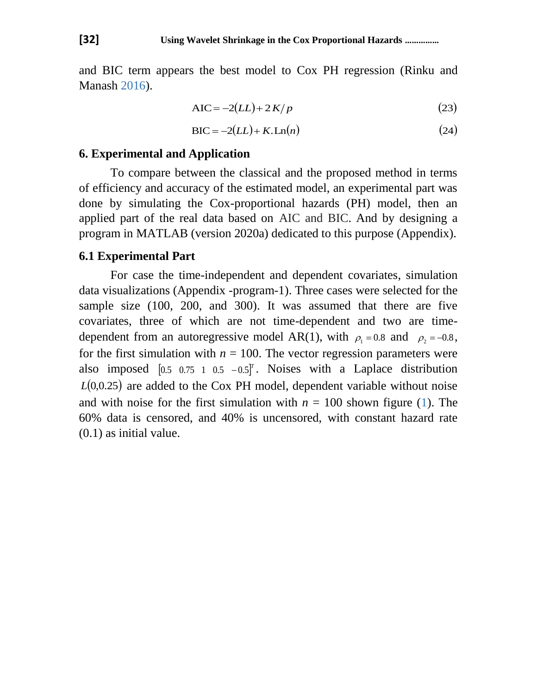and BIC term appears the best model to Cox PH regression (Rinku and Manash 2016).

$$
AIC = -2(LL) + 2K/p \tag{23}
$$

$$
BIC = -2(LL) + K.Ln(n)
$$
\n(24)

#### **6. Experimental and Application**

To compare between the classical and the proposed method in terms of efficiency and accuracy of the estimated model, an experimental part was done by simulating the Cox-proportional hazards (PH) model, then an applied part of the real data based on AIC and BIC. And by designing a program in MATLAB (version 2020a) dedicated to this purpose (Appendix).

#### **6.1 Experimental Part**

For case the time-independent and dependent covariates, simulation data visualizations (Appendix -program-1). Three cases were selected for the sample size (100, 200, and 300). It was assumed that there are five covariates, three of which are not time-dependent and two are timedependent from an autoregressive model AR(1), with  $\rho_1 = 0.8$  and  $\rho_2 = -0.8$ , for the first simulation with  $n = 100$ . The vector regression parameters were also imposed  $\begin{bmatrix} 0.5 & 0.75 & 1 & 0.5 & -0.5 \end{bmatrix}^T$ . Noises with a Laplace distribution  $L(0,0.25)$  are added to the Cox PH model, dependent variable without noise and with noise for the first simulation with  $n = 100$  shown figure (1). The 60% data is censored, and 40% is uncensored, with constant hazard rate (0.1) as initial value.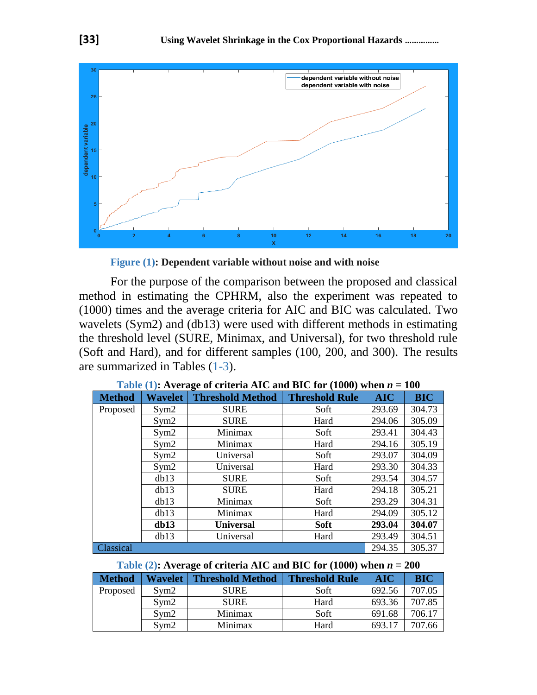

**Figure (1): Dependent variable without noise and with noise**

For the purpose of the comparison between the proposed and classical method in estimating the CPHRM, also the experiment was repeated to (1000) times and the average criteria for AIC and BIC was calculated. Two wavelets (Sym2) and (db13) were used with different methods in estimating the threshold level (SURE, Minimax, and Universal), for two threshold rule (Soft and Hard), and for different samples (100, 200, and 300). The results are summarized in Tables (1-3).

| <b>Method</b>    | Wavelet | <b>Threshold Method</b> | <b>Threshold Rule</b> | <b>AIC</b> | <b>BIC</b> |
|------------------|---------|-------------------------|-----------------------|------------|------------|
| Proposed         | Sym2    | <b>SURE</b>             | Soft                  | 293.69     | 304.73     |
|                  | Sym2    | <b>SURE</b>             | Hard                  | 294.06     | 305.09     |
|                  | Sym2    | Minimax                 | Soft                  | 293.41     | 304.43     |
|                  | Sym2    | Minimax                 | Hard                  | 294.16     | 305.19     |
| Sym2             |         | Universal               | Soft                  | 293.07     | 304.09     |
|                  | Sym2    | Universal               | Hard                  | 293.30     | 304.33     |
|                  | db13    | <b>SURE</b>             | Soft                  | 293.54     | 304.57     |
|                  | db13    | <b>SURE</b>             | Hard                  | 294.18     | 305.21     |
|                  | db13    | Minimax                 | Soft                  | 293.29     | 304.31     |
| db13             |         | Minimax                 | Hard                  | 294.09     | 305.12     |
|                  | db13    | <b>Universal</b>        | <b>Soft</b>           | 293.04     | 304.07     |
|                  | db13    | Universal               | Hard                  | 293.49     | 304.51     |
| <b>Classical</b> |         |                         |                       | 294.35     | 305.37     |

| Table (1): Average of criteria AIC and BIC for (1000) when $n = 100$ |
|----------------------------------------------------------------------|
|----------------------------------------------------------------------|

**Table (2):** Average of criteria AIC and BIC for (1000) when  $n = 200$ 

| <b>Method</b> | <b>Wavelet</b> | <b>Threshold Method</b> | <b>Threshold Rule</b> | AIC    | <b>BIC</b> |
|---------------|----------------|-------------------------|-----------------------|--------|------------|
| Proposed      | Svm2           | <b>SURE</b>             | Soft                  | 692.56 | 707.05     |
|               | Sym2           | <b>SURE</b>             | Hard                  | 693.36 | 707.85     |
|               | Svm2           | Minimax                 | Soft                  | 691.68 | 706.17     |
|               | Sym2           | Minimax                 | Hard                  | 693.17 | 707.66     |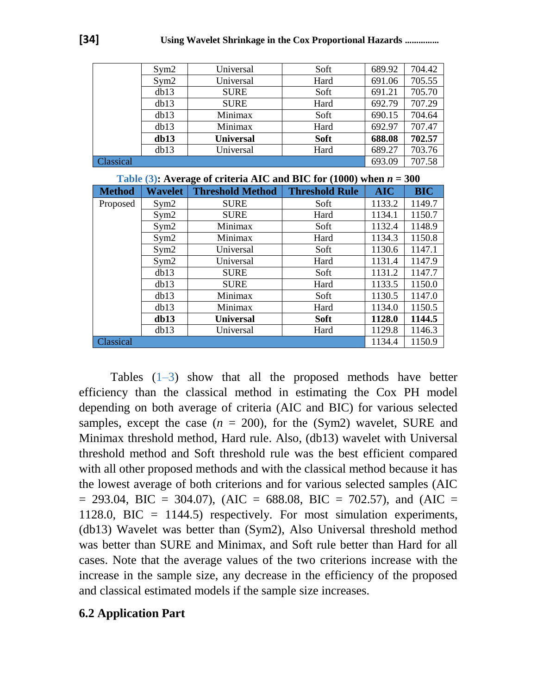|           | Sym2 | Universal        | Soft        | 689.92 | 704.42 |
|-----------|------|------------------|-------------|--------|--------|
|           | Sym2 | Universal        | Hard        | 691.06 | 705.55 |
| db13      |      | <b>SURE</b>      | Soft        | 691.21 | 705.70 |
|           | db13 | <b>SURE</b>      | Hard        | 692.79 | 707.29 |
|           | db13 | Minimax          | Soft        | 690.15 | 704.64 |
|           | db13 | Minimax          | Hard        | 692.97 | 707.47 |
|           | db13 | <b>Universal</b> | <b>Soft</b> | 688.08 | 702.57 |
|           | db13 | Universal        | Hard        | 689.27 | 703.76 |
| Classical |      |                  |             | 693.09 | 707.58 |

|               | Table (3): Average of criteria AIC and BIC for (1000) when $n = 300$ |                         |                       |            |                  |  |  |  |  |  |  |
|---------------|----------------------------------------------------------------------|-------------------------|-----------------------|------------|------------------|--|--|--|--|--|--|
| <b>Method</b> | <b>Wavelet</b>                                                       | <b>Threshold Method</b> | <b>Threshold Rule</b> | <b>AIC</b> | <b>BIC</b>       |  |  |  |  |  |  |
| Proposed      | Sym2                                                                 | <b>SURE</b>             | Soft                  | 1133.2     | 1149.7           |  |  |  |  |  |  |
|               | Sym2                                                                 | <b>SURE</b>             | Hard                  | 1134.1     | 1150.7           |  |  |  |  |  |  |
|               | Sym2                                                                 | Minimax                 | Soft                  | 1132.4     | 1148.9           |  |  |  |  |  |  |
|               | Sym2                                                                 | Minimax                 | Hard                  | 1134.3     | 1150.8           |  |  |  |  |  |  |
|               | Sym2                                                                 | Universal               | Soft                  | 1130.6     | 1147.1           |  |  |  |  |  |  |
| Sym2<br>db13  |                                                                      | Universal               | Hard                  | 1131.4     | 1147.9           |  |  |  |  |  |  |
|               |                                                                      | <b>SURE</b>             | Soft                  | 1131.2     | 1147.7           |  |  |  |  |  |  |
|               | db13                                                                 | <b>SURE</b>             | Hard                  | 1133.5     | 1150.0           |  |  |  |  |  |  |
|               | db13                                                                 | Minimax                 | Soft                  | 1130.5     | 1147.0<br>1150.5 |  |  |  |  |  |  |
|               | dh13                                                                 | Minimax                 | Hard                  | 1134.0     |                  |  |  |  |  |  |  |
|               | db13                                                                 | <b>Universal</b>        | <b>Soft</b>           | 1128.0     | 1144.5           |  |  |  |  |  |  |
|               | db13                                                                 | Universal               | Hard                  | 1129.8     | 1146.3           |  |  |  |  |  |  |
| Classical     |                                                                      |                         |                       | 1134.4     | 1150.9           |  |  |  |  |  |  |

Tables  $(1-3)$  show that all the proposed methods have better efficiency than the classical method in estimating the Cox PH model depending on both average of criteria (AIC and BIC) for various selected samples, except the case  $(n = 200)$ , for the (Sym2) wavelet, SURE and Minimax threshold method, Hard rule. Also, (db13) wavelet with Universal threshold method and Soft threshold rule was the best efficient compared with all other proposed methods and with the classical method because it has the lowest average of both criterions and for various selected samples (AIC  $= 293.04$ , BIC  $= 304.07$ ), (AIC  $= 688.08$ , BIC  $= 702.57$ ), and (AIC  $=$ 1128.0, BIC = 1144.5) respectively. For most simulation experiments, (db13) Wavelet was better than (Sym2), Also Universal threshold method was better than SURE and Minimax, and Soft rule better than Hard for all cases. Note that the average values of the two criterions increase with the increase in the sample size, any decrease in the efficiency of the proposed and classical estimated models if the sample size increases.

### **6.2 Application Part**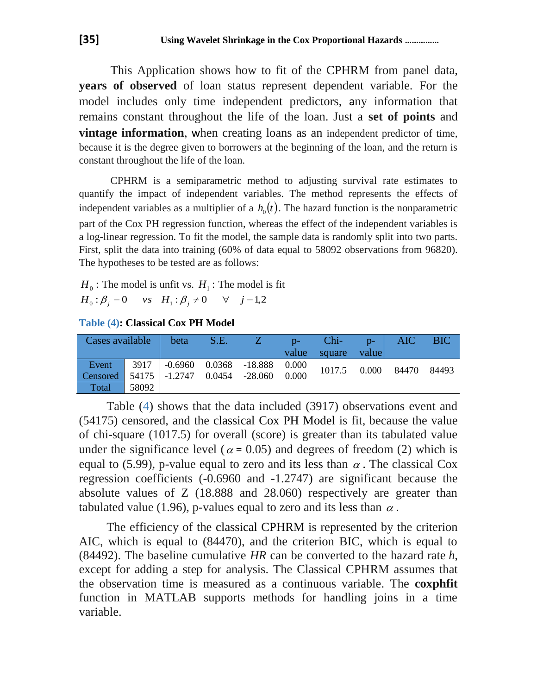This Application shows how to fit of the CPHRM from panel data, **years of observed** of loan status represent dependent variable. For the model includes only time independent predictors, any information that remains constant throughout the life of the loan. Just a **set of points** and **vintage information**, when creating loans as an independent predictor of time, because it is the degree given to borrowers at the beginning of the loan, and the return is constant throughout the life of the loan.

CPHRM is a semiparametric method to adjusting survival rate estimates to quantify the impact of independent variables. The method represents the effects of independent variables as a multiplier of a  $h_0(t)$ . The hazard function is the nonparametric part of the Cox PH regression function, whereas the effect of the independent variables is a log-linear regression. To fit the model, the sample data is randomly split into two parts. First, split the data into training (60% of data equal to 58092 observations from 96820). The hypotheses to be tested are as follows:

 $H_0$ : The model is unfit vs.  $H_1$ : The model is fit  $H_0: \beta_j = 0$  *vs*  $H_1: \beta_j \neq 0$   $\forall$   $j = 1,2$ 

**Table (4): Classical Cox PH Model**

| Cases available                             |       | beta | S.E. | Z                                                                                                             | $D$ - | Chi-<br>value square value | $D$ - | AIC                         | <b>BIC</b> |
|---------------------------------------------|-------|------|------|---------------------------------------------------------------------------------------------------------------|-------|----------------------------|-------|-----------------------------|------------|
| Event                                       |       |      |      | $\begin{array}{ c c c c c c c c } \hline \text{3917} & -0.6960 & 0.0368 & -18.888 & 0.000 \hline \end{array}$ |       |                            |       | 1017.5  0.000  84470  84493 |            |
| Censored 54175 -1.2747 0.0454 -28.060 0.000 |       |      |      |                                                                                                               |       |                            |       |                             |            |
| Total                                       | 58092 |      |      |                                                                                                               |       |                            |       |                             |            |

Table (4) shows that the data included (3917) observations event and (54175) censored, and the classical Cox PH Model is fit, because the value of chi-square (1017.5) for overall (score) is greater than its tabulated value under the significance level ( $\alpha$  = 0.05) and degrees of freedom (2) which is equal to (5.99), p-value equal to zero and its less than  $\alpha$ . The classical Cox regression coefficients (-0.6960 and -1.2747) are significant because the absolute values of Z (18.888 and 28.060) respectively are greater than tabulated value (1.96), p-values equal to zero and its less than  $\alpha$ .

The efficiency of the classical CPHRM is represented by the criterion AIC, which is equal to (84470), and the criterion BIC, which is equal to (84492). The baseline cumulative *HR* can be converted to the hazard rate *h*, except for adding a step for analysis. The Classical CPHRM assumes that the observation time is measured as a continuous variable. The **coxphfit** function in MATLAB supports methods for handling joins in a time variable.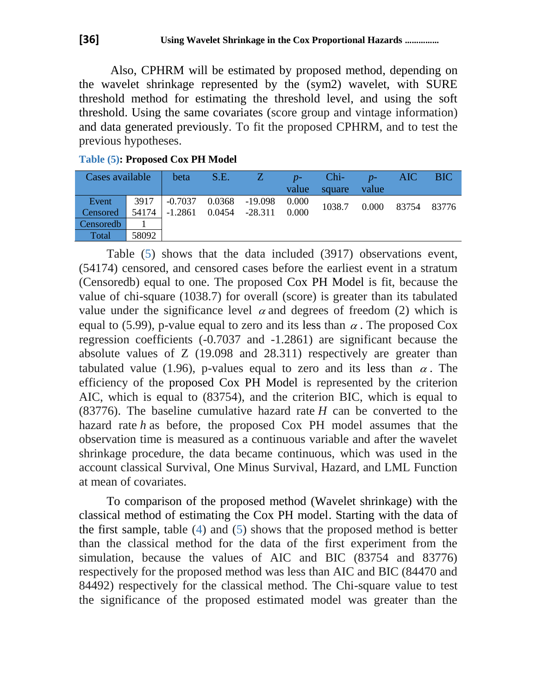Also, CPHRM will be estimated by proposed method, depending on the wavelet shrinkage represented by the (sym2) wavelet, with SURE threshold method for estimating the threshold level, and using the soft threshold. Using the same covariates (score group and vintage information) and data generated previously. To fit the proposed CPHRM, and to test the previous hypotheses.

| Cases available |       | beta                          | S.E. | Z7        | $p-$  | $Chi-$ | $p-$  | AIC   | <b>BIC</b> |
|-----------------|-------|-------------------------------|------|-----------|-------|--------|-------|-------|------------|
|                 |       |                               |      |           | value | square | value |       |            |
| Event           |       | 3917   -0.7037 0.0368 -19.098 |      |           | 0.000 | 1038.7 | 0.000 | 83754 | 83776      |
| Censored        | 54174 | $-1.2861$ 0.0454              |      | $-28.311$ | 0.000 |        |       |       |            |
| Censoredb       |       |                               |      |           |       |        |       |       |            |
| Total           | 58092 |                               |      |           |       |        |       |       |            |

**Table (5): Proposed Cox PH Model**

Table (5) shows that the data included (3917) observations event, (54174) censored, and censored cases before the earliest event in a stratum (Censoredb) equal to one. The proposed Cox PH Model is fit, because the value of chi-square (1038.7) for overall (score) is greater than its tabulated value under the significance level  $\alpha$  and degrees of freedom (2) which is equal to (5.99), p-value equal to zero and its less than  $\alpha$ . The proposed Cox regression coefficients (-0.7037 and -1.2861) are significant because the absolute values of Z (19.098 and 28.311) respectively are greater than tabulated value (1.96), p-values equal to zero and its less than  $\alpha$ . The efficiency of the proposed Cox PH Model is represented by the criterion AIC, which is equal to (83754), and the criterion BIC, which is equal to (83776). The baseline cumulative hazard rate *H* can be converted to the hazard rate *h* as before, the proposed Cox PH model assumes that the observation time is measured as a continuous variable and after the wavelet shrinkage procedure, the data became continuous, which was used in the account classical Survival, One Minus Survival, Hazard, and LML Function at mean of covariates.

To comparison of the proposed method (Wavelet shrinkage) with the classical method of estimating the Cox PH model. Starting with the data of the first sample, table (4) and (5) shows that the proposed method is better than the classical method for the data of the first experiment from the simulation, because the values of AIC and BIC (83754 and 83776) respectively for the proposed method was less than AIC and BIC (84470 and 84492) respectively for the classical method. The Chi-square value to test the significance of the proposed estimated model was greater than the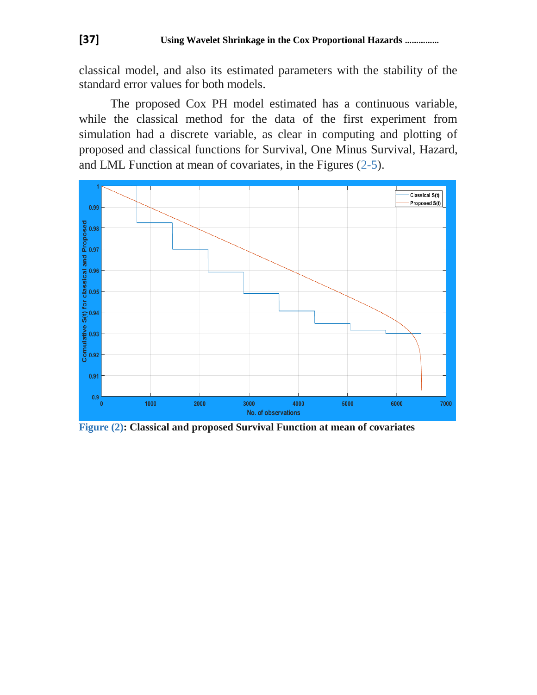classical model, and also its estimated parameters with the stability of the standard error values for both models.

The proposed Cox PH model estimated has a continuous variable, while the classical method for the data of the first experiment from simulation had a discrete variable, as clear in computing and plotting of proposed and classical functions for Survival, One Minus Survival, Hazard, and LML Function at mean of covariates, in the Figures (2-5).



**Figure (2): Classical and proposed Survival Function at mean of covariates**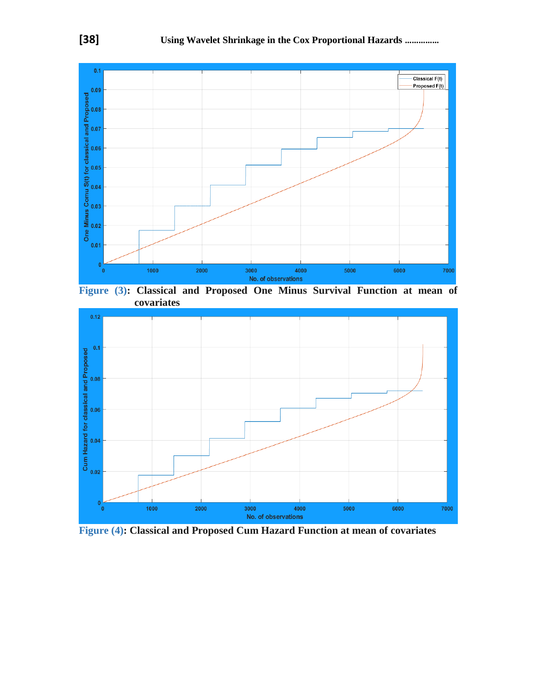

**Figure (3): Classical and Proposed One Minus Survival Function at mean of covariates**



**Figure (4): Classical and Proposed Cum Hazard Function at mean of covariates**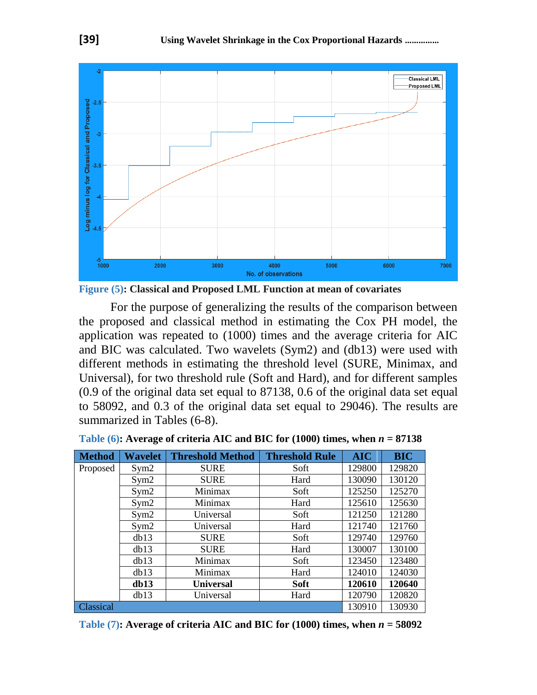

**Figure (5): Classical and Proposed LML Function at mean of covariates**

For the purpose of generalizing the results of the comparison between the proposed and classical method in estimating the Cox PH model, the application was repeated to (1000) times and the average criteria for AIC and BIC was calculated. Two wavelets (Sym2) and (db13) were used with different methods in estimating the threshold level (SURE, Minimax, and Universal), for two threshold rule (Soft and Hard), and for different samples (0.9 of the original data set equal to 87138, 0.6 of the original data set equal to 58092, and 0.3 of the original data set equal to 29046). The results are summarized in Tables (6-8).

| <b>Method</b>    | <b>Wavelet</b>      | <b>Threshold Method</b> | <b>Threshold Rule</b> | <b>AIC</b> | <b>BIC</b> |
|------------------|---------------------|-------------------------|-----------------------|------------|------------|
| Proposed         | Sym2                | <b>SURE</b>             | Soft                  | 129800     | 129820     |
|                  | Sym2                | <b>SURE</b>             | Hard                  | 130090     | 130120     |
|                  | Sym2                | Minimax                 | Soft                  | 125250     | 125270     |
|                  | Sym2                | Minimax                 | Hard                  | 125610     | 125630     |
| Sym2             |                     | Universal               | Soft                  | 121250     | 121280     |
|                  | Sym2                | Universal               | Hard                  | 121740     | 121760     |
|                  | db13                | <b>SURE</b>             | Soft                  | 129740     | 129760     |
|                  | db13<br><b>SURE</b> |                         | Hard                  | 130007     | 130100     |
|                  | db13                | Minimax                 | Soft                  | 123450     | 123480     |
|                  | db13                | Minimax                 | Hard                  | 124010     | 124030     |
|                  | db13                | <b>Universal</b>        | <b>Soft</b>           | 120610     | 120640     |
|                  | db13                | Universal               | Hard                  | 120790     | 120820     |
| <b>Classical</b> |                     |                         |                       | 130910     | 130930     |

**Table (6):** Average of criteria AIC and BIC for (1000) times, when  $n = 87138$ 

**Table (7):** Average of criteria AIC and BIC for (1000) times, when  $n = 58092$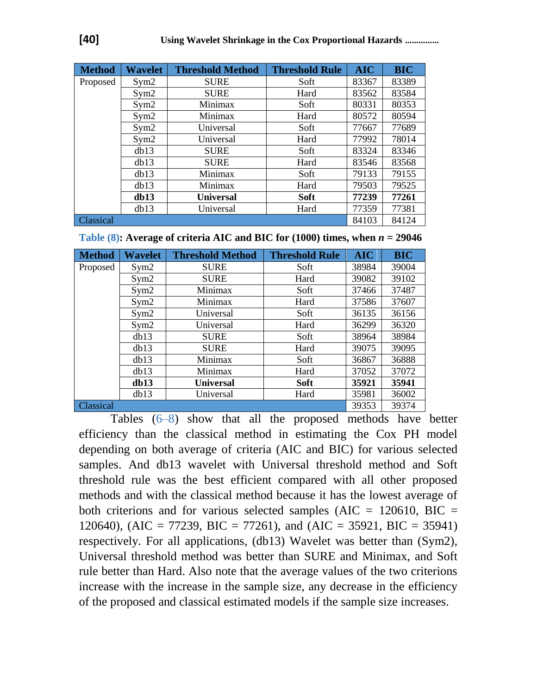| <b>Method</b> | <b>Wavelet</b> | <b>Threshold Method</b> | <b>Threshold Rule</b> | <b>AIC</b> | <b>BIC</b> |
|---------------|----------------|-------------------------|-----------------------|------------|------------|
| Proposed      | Sym2           | <b>SURE</b>             | Soft                  | 83367      | 83389      |
|               | Sym2           | <b>SURE</b>             | Hard                  | 83562      | 83584      |
|               | Sym2           | Minimax                 | Soft                  | 80331      | 80353      |
|               | Sym2           | Minimax                 | Hard                  | 80572      | 80594      |
|               | Sym2           | Universal               | Soft                  | 77667      | 77689      |
|               | Sym2           | Universal               | Hard                  | 77992      | 78014      |
| db13          |                | <b>SURE</b>             | Soft                  | 83324      | 83346      |
|               | db13           | <b>SURE</b>             | Hard                  | 83546      | 83568      |
|               | dh13           | Minimax                 | Soft                  | 79133      | 79155      |
|               | db13           | Minimax                 | Hard                  | 79503      | 79525      |
|               | dh13           | <b>Universal</b>        | <b>Soft</b>           | 77239      | 77261      |
|               | db13           | Universal               | Hard                  | 77359      | 77381      |
| Classical     |                |                         |                       | 84103      | 84124      |

| Table (8): Average of criteria AIC and BIC for (1000) times, when $n = 29046$ |  |  |  |  |  |
|-------------------------------------------------------------------------------|--|--|--|--|--|
|-------------------------------------------------------------------------------|--|--|--|--|--|

| <b>Method</b> | <b>Wavelet</b>    | <b>Threshold Method</b> | <b>Threshold Rule</b> | <b>AIC</b> | <b>BIC</b> |
|---------------|-------------------|-------------------------|-----------------------|------------|------------|
| Proposed      | Sym2              | <b>SURE</b>             | Soft                  | 38984      | 39004      |
|               | Sym2              | <b>SURE</b>             | Hard                  | 39082      | 39102      |
|               | Sym2              | Minimax                 | Soft                  | 37466      | 37487      |
|               | Sym2              | Minimax                 | Hard                  | 37586      | 37607      |
|               | Sym2<br>Universal |                         | Soft                  | 36135      | 36156      |
| Sym2          |                   | Universal               | Hard                  | 36299      | 36320      |
|               | db13              | <b>SURE</b>             | Soft                  | 38964      | 38984      |
|               | db13              | <b>SURE</b>             | Hard                  | 39075      | 39095      |
| dh13          |                   | Minimax                 | Soft                  | 36867      | 36888      |
|               | db13              | Minimax                 | Hard                  | 37052      | 37072      |
|               | db13              | <b>Universal</b>        | <b>Soft</b>           | 35921      | 35941      |
|               | db13              | Universal               | Hard                  | 35981      | 36002      |
| Classical     |                   |                         |                       | 39353      | 39374      |

Tables (6–8) show that all the proposed methods have better efficiency than the classical method in estimating the Cox PH model depending on both average of criteria (AIC and BIC) for various selected samples. And db13 wavelet with Universal threshold method and Soft threshold rule was the best efficient compared with all other proposed methods and with the classical method because it has the lowest average of both criterions and for various selected samples ( $AIC = 120610$ ,  $BIC =$ 120640), (AIC = 77239, BIC = 77261), and (AIC = 35921, BIC = 35941) respectively. For all applications, (db13) Wavelet was better than (Sym2), Universal threshold method was better than SURE and Minimax, and Soft rule better than Hard. Also note that the average values of the two criterions increase with the increase in the sample size, any decrease in the efficiency of the proposed and classical estimated models if the sample size increases.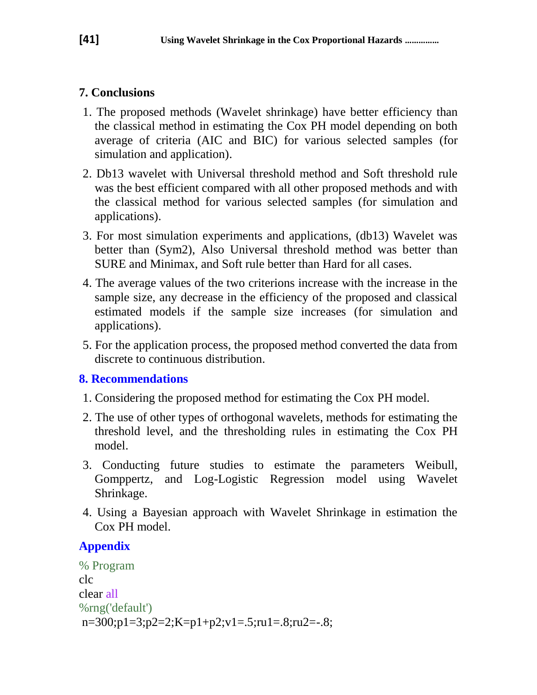## **7. Conclusions**

- 1. The proposed methods (Wavelet shrinkage) have better efficiency than the classical method in estimating the Cox PH model depending on both average of criteria (AIC and BIC) for various selected samples (for simulation and application).
- 2. Db13 wavelet with Universal threshold method and Soft threshold rule was the best efficient compared with all other proposed methods and with the classical method for various selected samples (for simulation and applications).
- 3. For most simulation experiments and applications, (db13) Wavelet was better than (Sym2), Also Universal threshold method was better than SURE and Minimax, and Soft rule better than Hard for all cases.
- 4. The average values of the two criterions increase with the increase in the sample size, any decrease in the efficiency of the proposed and classical estimated models if the sample size increases (for simulation and applications).
- 5. For the application process, the proposed method converted the data from discrete to continuous distribution.

## **8. Recommendations**

- 1. Considering the proposed method for estimating the Cox PH model.
- 2. The use of other types of orthogonal wavelets, methods for estimating the threshold level, and the thresholding rules in estimating the Cox PH model.
- 3. Conducting future studies to estimate the parameters Weibull, Gomppertz, and Log-Logistic Regression model using Wavelet Shrinkage.
- 4. Using a Bayesian approach with Wavelet Shrinkage in estimation the Cox PH model.

# **Appendix**

```
% Program
clc
clear all
%rng('default')
n=300;p1=3;p2=2;K=p1+p2;v1=.5;ru1=.8;ru2=-.8;
```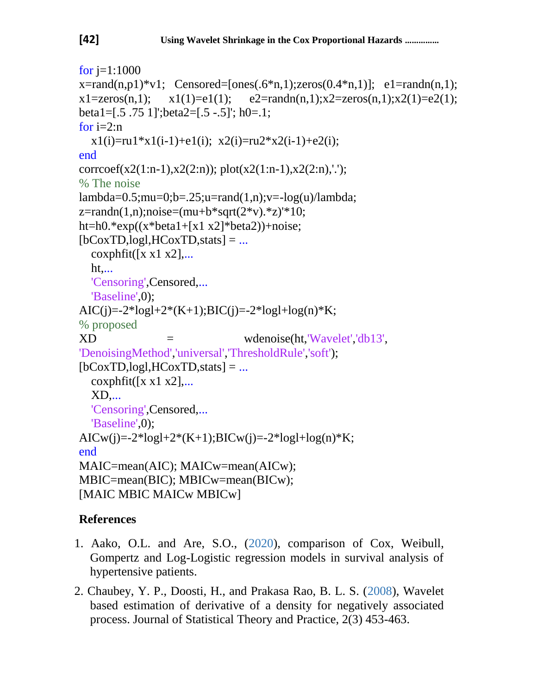```
for i=1:1000x = rand(n,p1)*v1; Censored=[ones(.6*n,1);zeros(0.4*n,1)]; e1=randn(n,1);
x1 = zeros(n,1); x1(1) = e1(1); e2 = randn(n,1);x2 = zeros(n,1);x2(1) = e2(1);beta1=[.5 .75 1]';beta2=[.5 -.5]'; h0=.1;
for i=2:nx1(i)=ru1*x1(i-1)+e1(i); x2(i)=ru2*x2(i-1)+e2(i);end
corrcoef(x2(1:n-1),x2(2:n)); plot(x2(1:n-1),x2(2:n),'.');
% The noise
lambda=0.5; mu=0;b=.25; u=rand(1,n); v=-log(u)/lambda;z = randn(1, n); noise = (mu + b * sqrt(2 * v). * z) * 10;ht=h0.*exp((x^*beta1+[x1 x2]*beta2))+noise;
[bCoxTD, log1, HCoxTD, stats] = ...\text{coxphfit}([x \times 1 \times 2],... ht,...
   'Censoring',Censored,...
   'Baseline',0);
AIC(j)=-2*logl+2*(K+1);BIC(j)=-2*logl+log(n)*K;
% proposed
XD = wdenoise(ht,'Wavelet','db13',
'DenoisingMethod','universal','ThresholdRule','soft');
[bCoxTD, log1, HCoxTD, stats] = ...\cosh\left(\left[x \times 1 \times 2\right],\right) XD,...
   'Censoring',Censored,...
   'Baseline',0);
AICw(j)=-2*logl+2*(K+1);BICw(j)=-2*logl+log(n)*K;
end
MAIC=mean(AIC); MAICw=mean(AICw);
MBIC=mean(BIC); MBICw=mean(BICw); 
[MAIC MBIC MAICw MBICw]
```
## **References**

- 1. Aako, O.L. and Are, S.O., (2020), comparison of Cox, Weibull, Gompertz and Log-Logistic regression models in survival analysis of hypertensive patients.
- 2. Chaubey, Y. P., Doosti, H., and Prakasa Rao, B. L. S. (2008), Wavelet based estimation of derivative of a density for negatively associated process. Journal of Statistical Theory and Practice, 2(3) 453-463.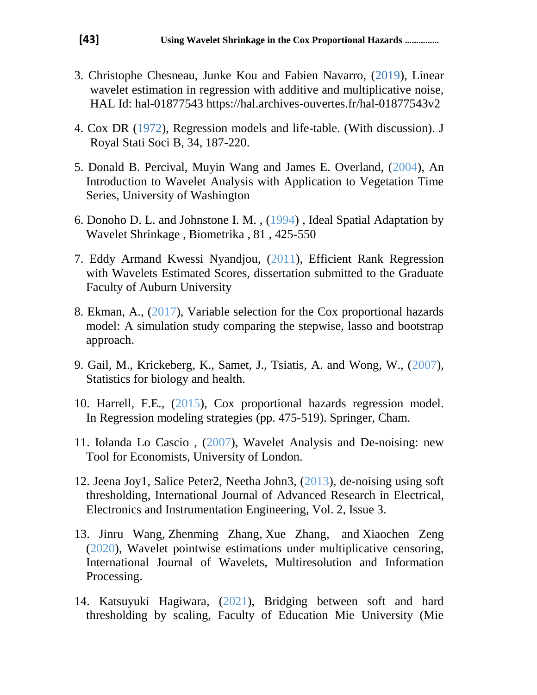- 3. Christophe Chesneau, Junke Kou and Fabien Navarro, (2019), Linear wavelet estimation in regression with additive and multiplicative noise, HAL Id: hal-01877543 https://hal.archives-ouvertes.fr/hal-01877543v2
- 4. Cox DR (1972), Regression models and life-table. (With discussion). J Royal Stati Soci B, 34, 187-220.
- 5. Donald B. Percival, Muyin Wang and James E. Overland, (2004), An Introduction to Wavelet Analysis with Application to Vegetation Time Series, University of Washington
- 6. Donoho D. L. and Johnstone I. M. , (1994) , Ideal Spatial Adaptation by Wavelet Shrinkage , Biometrika , 81 , 425-550
- 7. Eddy Armand Kwessi Nyandjou, (2011), Efficient Rank Regression with Wavelets Estimated Scores, dissertation submitted to the Graduate Faculty of Auburn University
- 8. Ekman, A., (2017), Variable selection for the Cox proportional hazards model: A simulation study comparing the stepwise, lasso and bootstrap approach.
- 9. Gail, M., Krickeberg, K., Samet, J., Tsiatis, A. and Wong, W., (2007), Statistics for biology and health.
- 10. Harrell, F.E., (2015), Cox proportional hazards regression model. In Regression modeling strategies (pp. 475-519). Springer, Cham.
- 11. Iolanda Lo Cascio , (2007), Wavelet Analysis and De-noising: new Tool for Economists, University of London.
- 12. Jeena Joy1, Salice Peter2, Neetha John3, (2013), de-noising using soft thresholding, International Journal of Advanced Research in Electrical, Electronics and Instrumentation Engineering, Vol. 2, Issue 3.
- 13. [Jinru Wang,](https://www.worldscientific.com/doi/abs/10.1142/S0219691320500204) [Zhenming Zhang,](https://www.worldscientific.com/doi/abs/10.1142/S0219691320500204) [Xue Zhang,](https://www.worldscientific.com/doi/abs/10.1142/S0219691320500204) and [Xiaochen Zeng](https://www.worldscientific.com/doi/abs/10.1142/S0219691320500204) (2020), Wavelet pointwise estimations under multiplicative censoring, International Journal of Wavelets, Multiresolution and Information Processing.
- 14. Katsuyuki Hagiwara, (2021), Bridging between soft and hard thresholding by scaling, Faculty of Education Mie University (Mie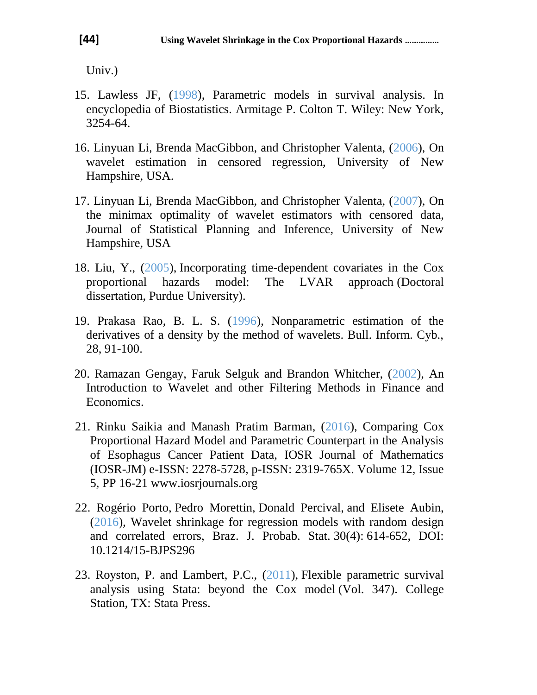Univ.)

- 15. Lawless JF, (1998), Parametric models in survival analysis. In encyclopedia of Biostatistics. Armitage P. Colton T. Wiley: New York, 3254-64.
- 16. Linyuan Li, Brenda MacGibbon, and Christopher Valenta, (2006), On wavelet estimation in censored regression, University of New Hampshire, USA.
- 17. Linyuan Li, Brenda MacGibbon, and Christopher Valenta, (2007), On the minimax optimality of wavelet estimators with censored data, Journal of Statistical Planning and Inference, University of New Hampshire, USA
- 18. Liu, Y., (2005), Incorporating time-dependent covariates in the Cox proportional hazards model: The LVAR approach (Doctoral dissertation, Purdue University).
- 19. Prakasa Rao, B. L. S. (1996), Nonparametric estimation of the derivatives of a density by the method of wavelets. Bull. Inform. Cyb., 28, 91-100.
- 20. Ramazan Gengay, Faruk Selguk and Brandon Whitcher, (2002), An Introduction to Wavelet and other Filtering Methods in Finance and Economics.
- 21. Rinku Saikia and Manash Pratim Barman, (2016), Comparing Cox Proportional Hazard Model and Parametric Counterpart in the Analysis of Esophagus Cancer Patient Data, IOSR Journal of Mathematics (IOSR-JM) e-ISSN: 2278-5728, p-ISSN: 2319-765X. Volume 12, Issue 5, PP 16-21 www.iosrjournals.org
- 22. Rogério Porto, Pedro Morettin, Donald Percival, and Elisete Aubin, (2016), Wavelet shrinkage for regression models with random design and correlated errors, Braz. J. Probab. Stat. 30(4): 614-652, DOI: 10.1214/15-BJPS296
- 23. Royston, P. and Lambert, P.C., (2011), Flexible parametric survival analysis using Stata: beyond the Cox model (Vol. 347). College Station, TX: Stata Press.